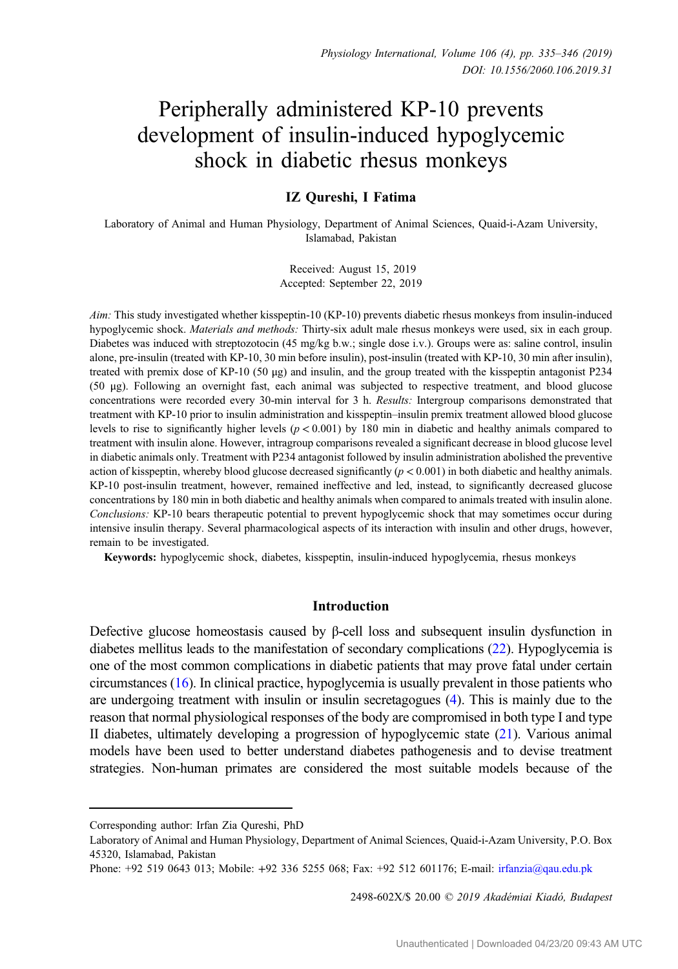# Peripherally administered KP-10 prevents development of insulin-induced hypoglycemic shock in diabetic rhesus monkeys

# IZ Qureshi, I Fatima

Laboratory of Animal and Human Physiology, Department of Animal Sciences, Quaid-i-Azam University, Islamabad, Pakistan

> Received: August 15, 2019 Accepted: September 22, 2019

Aim: This study investigated whether kisspeptin-10 (KP-10) prevents diabetic rhesus monkeys from insulin-induced hypoglycemic shock. Materials and methods: Thirty-six adult male rhesus monkeys were used, six in each group. Diabetes was induced with streptozotocin (45 mg/kg b.w.; single dose i.v.). Groups were as: saline control, insulin alone, pre-insulin (treated with KP-10, 30 min before insulin), post-insulin (treated with KP-10, 30 min after insulin), treated with premix dose of KP-10 (50 μg) and insulin, and the group treated with the kisspeptin antagonist P234 (50 μg). Following an overnight fast, each animal was subjected to respective treatment, and blood glucose concentrations were recorded every 30-min interval for 3 h. Results: Intergroup comparisons demonstrated that treatment with KP-10 prior to insulin administration and kisspeptin–insulin premix treatment allowed blood glucose levels to rise to significantly higher levels ( $p < 0.001$ ) by 180 min in diabetic and healthy animals compared to treatment with insulin alone. However, intragroup comparisons revealed a significant decrease in blood glucose level in diabetic animals only. Treatment with P234 antagonist followed by insulin administration abolished the preventive action of kisspeptin, whereby blood glucose decreased significantly  $(p < 0.001)$  in both diabetic and healthy animals. KP-10 post-insulin treatment, however, remained ineffective and led, instead, to significantly decreased glucose concentrations by 180 min in both diabetic and healthy animals when compared to animals treated with insulin alone. Conclusions: KP-10 bears therapeutic potential to prevent hypoglycemic shock that may sometimes occur during intensive insulin therapy. Several pharmacological aspects of its interaction with insulin and other drugs, however, remain to be investigated.

Keywords: hypoglycemic shock, diabetes, kisspeptin, insulin-induced hypoglycemia, rhesus monkeys

## Introduction

Defective glucose homeostasis caused by β-cell loss and subsequent insulin dysfunction in diabetes mellitus leads to the manifestation of secondary complications ([22](#page-11-0)). Hypoglycemia is one of the most common complications in diabetic patients that may prove fatal under certain circumstances ([16](#page-11-0)). In clinical practice, hypoglycemia is usually prevalent in those patients who are undergoing treatment with insulin or insulin secretagogues [\(4\)](#page-11-0). This is mainly due to the reason that normal physiological responses of the body are compromised in both type I and type II diabetes, ultimately developing a progression of hypoglycemic state ([21](#page-11-0)). Various animal models have been used to better understand diabetes pathogenesis and to devise treatment strategies. Non-human primates are considered the most suitable models because of the

2498-602X/\$ 20.00 © 2019 Akadémiai Kiadó, Budapest

Corresponding author: Irfan Zia Qureshi, PhD

Laboratory of Animal and Human Physiology, Department of Animal Sciences, Quaid-i-Azam University, P.O. Box 45320, Islamabad, Pakistan

Phone: +92 519 0643 013; Mobile: +92 336 5255 068; Fax: +92 512 601176; E-mail: [irfanzia@qau.edu.pk](mailto:irfanzia@qau.edu.pk)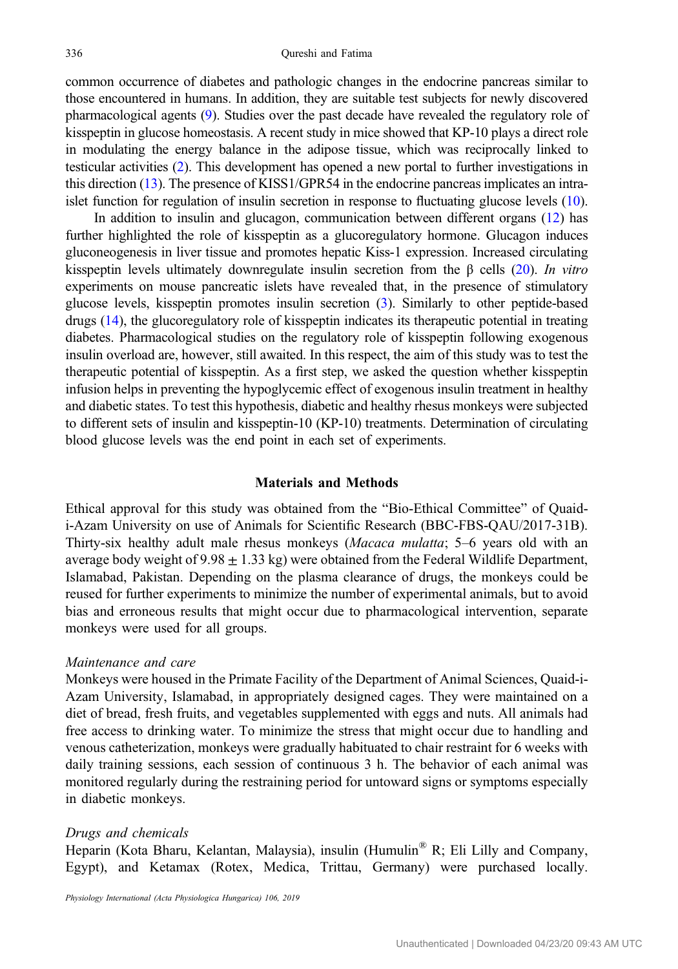common occurrence of diabetes and pathologic changes in the endocrine pancreas similar to those encountered in humans. In addition, they are suitable test subjects for newly discovered pharmacological agents [\(9\)](#page-11-0). Studies over the past decade have revealed the regulatory role of kisspeptin in glucose homeostasis. A recent study in mice showed that KP-10 plays a direct role in modulating the energy balance in the adipose tissue, which was reciprocally linked to testicular activities [\(2](#page-10-0)). This development has opened a new portal to further investigations in this direction [\(13\)](#page-11-0). The presence of KISS1/GPR54 in the endocrine pancreas implicates an intraislet function for regulation of insulin secretion in response to fluctuating glucose levels ([10](#page-11-0)).

In addition to insulin and glucagon, communication between different organs [\(12](#page-11-0)) has further highlighted the role of kisspeptin as a glucoregulatory hormone. Glucagon induces gluconeogenesis in liver tissue and promotes hepatic Kiss-1 expression. Increased circulating kisspeptin levels ultimately downregulate insulin secretion from the  $\beta$  cells [\(20](#page-11-0)). In vitro experiments on mouse pancreatic islets have revealed that, in the presence of stimulatory glucose levels, kisspeptin promotes insulin secretion [\(3](#page-10-0)). Similarly to other peptide-based drugs ([14](#page-11-0)), the glucoregulatory role of kisspeptin indicates its therapeutic potential in treating diabetes. Pharmacological studies on the regulatory role of kisspeptin following exogenous insulin overload are, however, still awaited. In this respect, the aim of this study was to test the therapeutic potential of kisspeptin. As a first step, we asked the question whether kisspeptin infusion helps in preventing the hypoglycemic effect of exogenous insulin treatment in healthy and diabetic states. To test this hypothesis, diabetic and healthy rhesus monkeys were subjected to different sets of insulin and kisspeptin-10 (KP-10) treatments. Determination of circulating blood glucose levels was the end point in each set of experiments.

# Materials and Methods

Ethical approval for this study was obtained from the "Bio-Ethical Committee" of Quaidi-Azam University on use of Animals for Scientific Research (BBC-FBS-QAU/2017-31B). Thirty-six healthy adult male rhesus monkeys (Macaca mulatta; 5–6 years old with an average body weight of  $9.98 \pm 1.33$  kg) were obtained from the Federal Wildlife Department, Islamabad, Pakistan. Depending on the plasma clearance of drugs, the monkeys could be reused for further experiments to minimize the number of experimental animals, but to avoid bias and erroneous results that might occur due to pharmacological intervention, separate monkeys were used for all groups.

# Maintenance and care

Monkeys were housed in the Primate Facility of the Department of Animal Sciences, Quaid-i-Azam University, Islamabad, in appropriately designed cages. They were maintained on a diet of bread, fresh fruits, and vegetables supplemented with eggs and nuts. All animals had free access to drinking water. To minimize the stress that might occur due to handling and venous catheterization, monkeys were gradually habituated to chair restraint for 6 weeks with daily training sessions, each session of continuous 3 h. The behavior of each animal was monitored regularly during the restraining period for untoward signs or symptoms especially in diabetic monkeys.

#### Drugs and chemicals

Heparin (Kota Bharu, Kelantan, Malaysia), insulin (Humulin® R; Eli Lilly and Company, Egypt), and Ketamax (Rotex, Medica, Trittau, Germany) were purchased locally.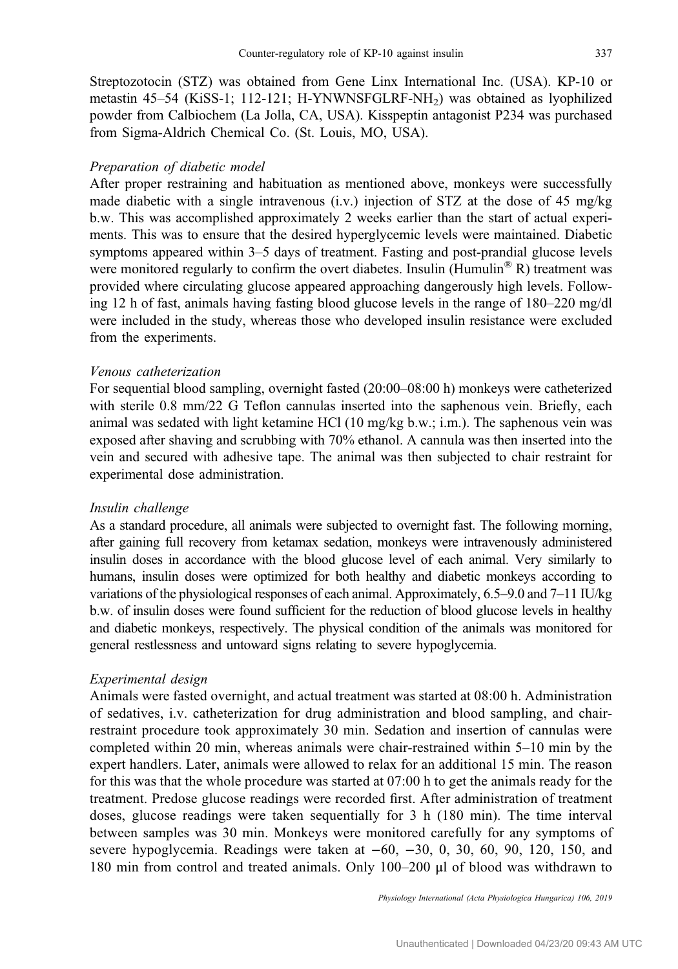Streptozotocin (STZ) was obtained from Gene Linx International Inc. (USA). KP-10 or metastin 45–54 (KiSS-1; 112-121; H-YNWNSFGLRF-NH2) was obtained as lyophilized powder from Calbiochem (La Jolla, CA, USA). Kisspeptin antagonist P234 was purchased from Sigma-Aldrich Chemical Co. (St. Louis, MO, USA).

#### Preparation of diabetic model

After proper restraining and habituation as mentioned above, monkeys were successfully made diabetic with a single intravenous  $(i.v.)$  injection of STZ at the dose of 45 mg/kg b.w. This was accomplished approximately 2 weeks earlier than the start of actual experiments. This was to ensure that the desired hyperglycemic levels were maintained. Diabetic symptoms appeared within 3–5 days of treatment. Fasting and post-prandial glucose levels were monitored regularly to confirm the overt diabetes. Insulin (Humulin<sup>®</sup> R) treatment was provided where circulating glucose appeared approaching dangerously high levels. Following 12 h of fast, animals having fasting blood glucose levels in the range of 180–220 mg/dl were included in the study, whereas those who developed insulin resistance were excluded from the experiments.

# Venous catheterization

For sequential blood sampling, overnight fasted (20:00–08:00 h) monkeys were catheterized with sterile 0.8 mm/22 G Teflon cannulas inserted into the saphenous vein. Briefly, each animal was sedated with light ketamine HCl (10 mg/kg b.w.; i.m.). The saphenous vein was exposed after shaving and scrubbing with 70% ethanol. A cannula was then inserted into the vein and secured with adhesive tape. The animal was then subjected to chair restraint for experimental dose administration.

#### Insulin challenge

As a standard procedure, all animals were subjected to overnight fast. The following morning, after gaining full recovery from ketamax sedation, monkeys were intravenously administered insulin doses in accordance with the blood glucose level of each animal. Very similarly to humans, insulin doses were optimized for both healthy and diabetic monkeys according to variations of the physiological responses of each animal. Approximately, 6.5–9.0 and 7–11 IU/kg b.w. of insulin doses were found sufficient for the reduction of blood glucose levels in healthy and diabetic monkeys, respectively. The physical condition of the animals was monitored for general restlessness and untoward signs relating to severe hypoglycemia.

#### Experimental design

Animals were fasted overnight, and actual treatment was started at 08:00 h. Administration of sedatives, i.v. catheterization for drug administration and blood sampling, and chairrestraint procedure took approximately 30 min. Sedation and insertion of cannulas were completed within 20 min, whereas animals were chair-restrained within 5–10 min by the expert handlers. Later, animals were allowed to relax for an additional 15 min. The reason for this was that the whole procedure was started at 07:00 h to get the animals ready for the treatment. Predose glucose readings were recorded first. After administration of treatment doses, glucose readings were taken sequentially for 3 h (180 min). The time interval between samples was 30 min. Monkeys were monitored carefully for any symptoms of severe hypoglycemia. Readings were taken at −60, −30, 0, 30, 60, 90, 120, 150, and 180 min from control and treated animals. Only 100–200 μl of blood was withdrawn to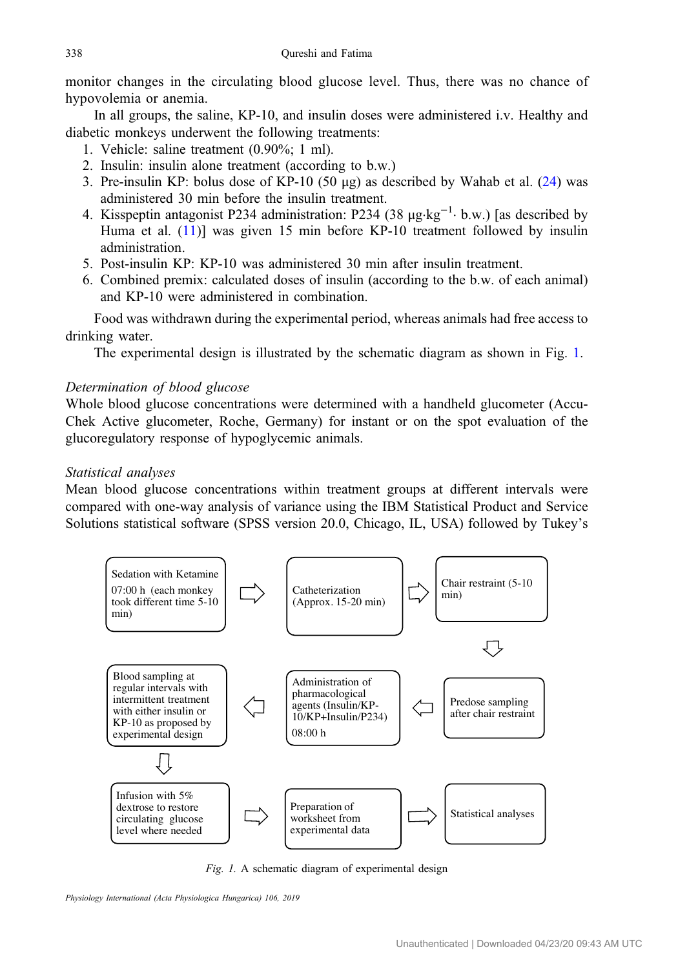monitor changes in the circulating blood glucose level. Thus, there was no chance of hypovolemia or anemia.

In all groups, the saline, KP-10, and insulin doses were administered i.v. Healthy and diabetic monkeys underwent the following treatments:

- 1. Vehicle: saline treatment (0.90%; 1 ml).
- 2. Insulin: insulin alone treatment (according to b.w.)
- 3. Pre-insulin KP: bolus dose of KP-10 (50  $\mu$ g) as described by Wahab et al. ([24](#page-11-0)) was administered 30 min before the insulin treatment.
- 4. Kisspeptin antagonist P234 administration: P234 (38 μg·kg−<sup>1</sup> · b.w.) [as described by Huma et al. [\(11](#page-11-0))] was given 15 min before KP-10 treatment followed by insulin administration.
- 5. Post-insulin KP: KP-10 was administered 30 min after insulin treatment.
- 6. Combined premix: calculated doses of insulin (according to the b.w. of each animal) and KP-10 were administered in combination.

Food was withdrawn during the experimental period, whereas animals had free access to drinking water.

The experimental design is illustrated by the schematic diagram as shown in Fig. 1.

# Determination of blood glucose

Whole blood glucose concentrations were determined with a handheld glucometer (Accu-Chek Active glucometer, Roche, Germany) for instant or on the spot evaluation of the glucoregulatory response of hypoglycemic animals.

# Statistical analyses

Mean blood glucose concentrations within treatment groups at different intervals were compared with one-way analysis of variance using the IBM Statistical Product and Service Solutions statistical software (SPSS version 20.0, Chicago, IL, USA) followed by Tukey's



Fig. 1. A schematic diagram of experimental design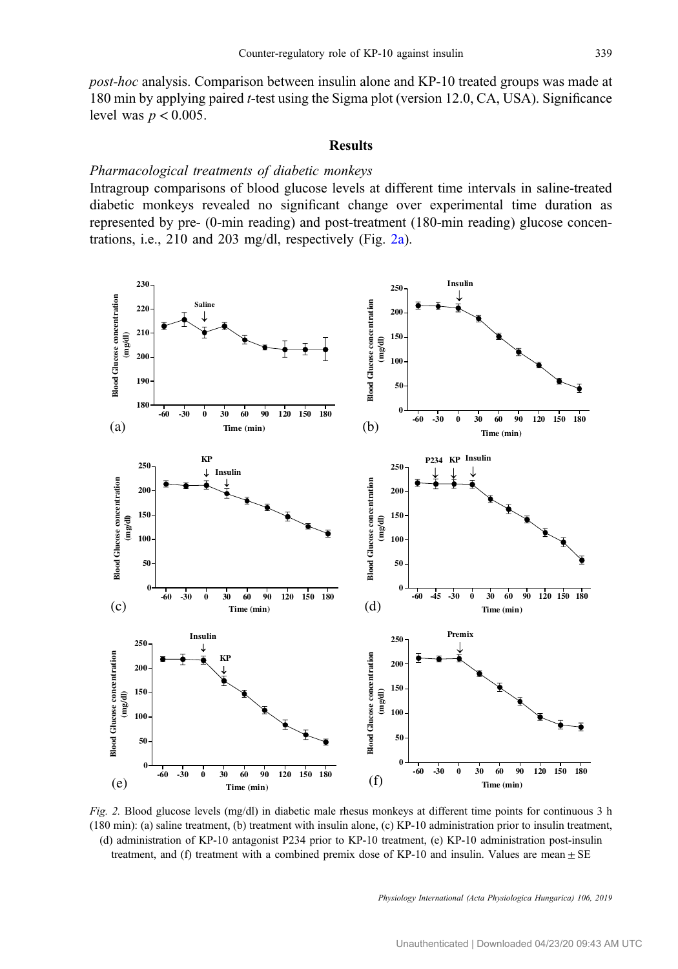<span id="page-4-0"></span>post-hoc analysis. Comparison between insulin alone and KP-10 treated groups was made at 180 min by applying paired t-test using the Sigma plot (version 12.0, CA, USA). Significance level was  $p < 0.005$ .

#### Results

#### Pharmacological treatments of diabetic monkeys

Intragroup comparisons of blood glucose levels at different time intervals in saline-treated diabetic monkeys revealed no significant change over experimental time duration as represented by pre- (0-min reading) and post-treatment (180-min reading) glucose concentrations, i.e., 210 and 203 mg/dl, respectively (Fig. 2a).



Fig. 2. Blood glucose levels (mg/dl) in diabetic male rhesus monkeys at different time points for continuous 3 h (180 min): (a) saline treatment, (b) treatment with insulin alone, (c) KP-10 administration prior to insulin treatment, (d) administration of KP-10 antagonist P234 prior to KP-10 treatment, (e) KP-10 administration post-insulin treatment, and (f) treatment with a combined premix dose of KP-10 and insulin. Values are mean  $\pm$  SE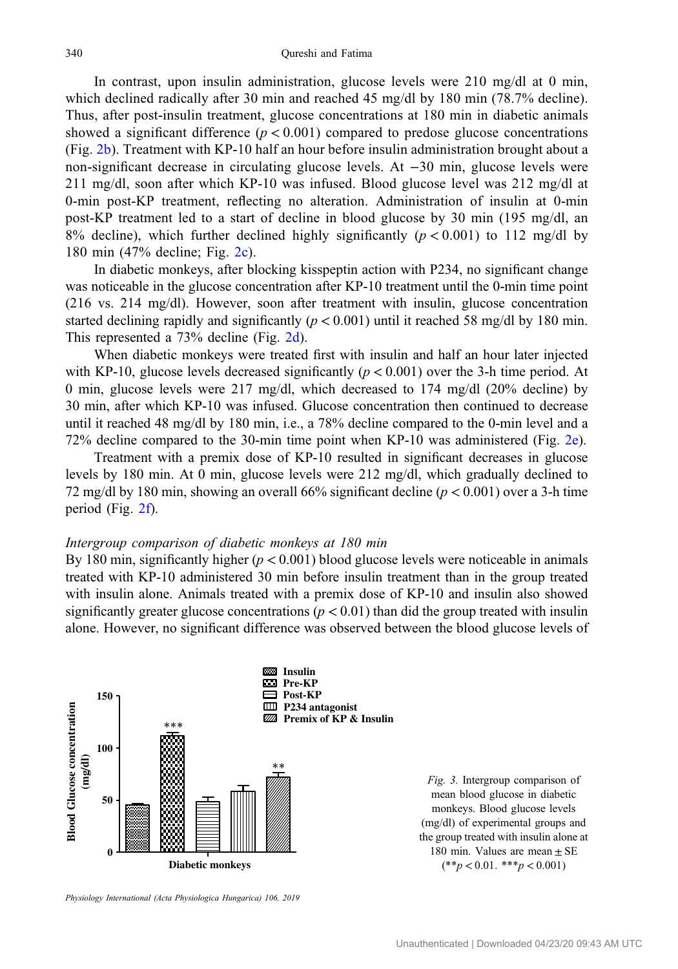<span id="page-5-0"></span>In contrast, upon insulin administration, glucose levels were 210 mg/dl at 0 min, which declined radically after 30 min and reached 45 mg/dl by 180 min (78.7% decline). Thus, after post-insulin treatment, glucose concentrations at 180 min in diabetic animals showed a significant difference  $(p < 0.001)$  compared to predose glucose concentrations (Fig. [2b](#page-4-0)). Treatment with KP-10 half an hour before insulin administration brought about a non-significant decrease in circulating glucose levels. At −30 min, glucose levels were 211 mg/dl, soon after which KP-10 was infused. Blood glucose level was 212 mg/dl at 0-min post-KP treatment, reflecting no alteration. Administration of insulin at 0-min post-KP treatment led to a start of decline in blood glucose by 30 min (195 mg/dl, an 8% decline), which further declined highly significantly  $(p < 0.001)$  to 112 mg/dl by 180 min (47% decline; Fig. [2c](#page-4-0)).

In diabetic monkeys, after blocking kisspeptin action with P234, no significant change was noticeable in the glucose concentration after KP-10 treatment until the 0-min time point (216 vs. 214 mg/dl). However, soon after treatment with insulin, glucose concentration started declining rapidly and significantly ( $p < 0.001$ ) until it reached 58 mg/dl by 180 min. This represented a 73% decline (Fig. [2d](#page-4-0)).

When diabetic monkeys were treated first with insulin and half an hour later injected with KP-10, glucose levels decreased significantly ( $p < 0.001$ ) over the 3-h time period. At 0 min, glucose levels were 217 mg/dl, which decreased to 174 mg/dl (20% decline) by 30 min, after which KP-10 was infused. Glucose concentration then continued to decrease until it reached 48 mg/dl by 180 min, i.e., a 78% decline compared to the 0-min level and a 72% decline compared to the 30-min time point when KP-10 was administered (Fig. [2e](#page-4-0)).

Treatment with a premix dose of KP-10 resulted in significant decreases in glucose levels by 180 min. At 0 min, glucose levels were 212 mg/dl, which gradually declined to 72 mg/dl by 180 min, showing an overall 66% significant decline ( $p < 0.001$ ) over a 3-h time period (Fig. [2f\)](#page-4-0).

## Intergroup comparison of diabetic monkeys at 180 min

By 180 min, significantly higher ( $p < 0.001$ ) blood glucose levels were noticeable in animals treated with KP-10 administered 30 min before insulin treatment than in the group treated with insulin alone. Animals treated with a premix dose of KP-10 and insulin also showed significantly greater glucose concentrations ( $p < 0.01$ ) than did the group treated with insulin alone. However, no significant difference was observed between the blood glucose levels of



Fig. 3. Intergroup comparison of mean blood glucose in diabetic monkeys. Blood glucose levels (mg/dl) of experimental groups and the group treated with insulin alone at 180 min. Values are mean  $\pm$  SE  $(*p < 0.01, **p < 0.001)$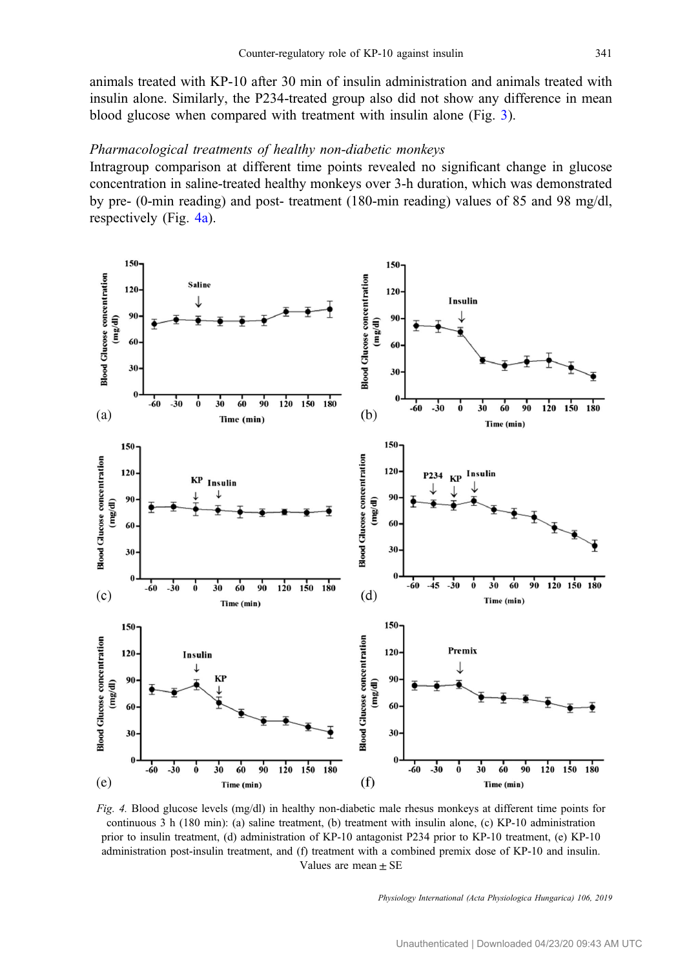<span id="page-6-0"></span>animals treated with KP-10 after 30 min of insulin administration and animals treated with insulin alone. Similarly, the P234-treated group also did not show any difference in mean blood glucose when compared with treatment with insulin alone (Fig. [3\)](#page-5-0).

# Pharmacological treatments of healthy non-diabetic monkeys

Intragroup comparison at different time points revealed no significant change in glucose concentration in saline-treated healthy monkeys over 3-h duration, which was demonstrated by pre- (0-min reading) and post- treatment (180-min reading) values of 85 and 98 mg/dl, respectively (Fig. 4a).



Fig. 4. Blood glucose levels (mg/dl) in healthy non-diabetic male rhesus monkeys at different time points for continuous 3 h (180 min): (a) saline treatment, (b) treatment with insulin alone, (c) KP-10 administration prior to insulin treatment, (d) administration of KP-10 antagonist P234 prior to KP-10 treatment, (e) KP-10 administration post-insulin treatment, and (f) treatment with a combined premix dose of KP-10 and insulin. Values are mean  $\pm$  SE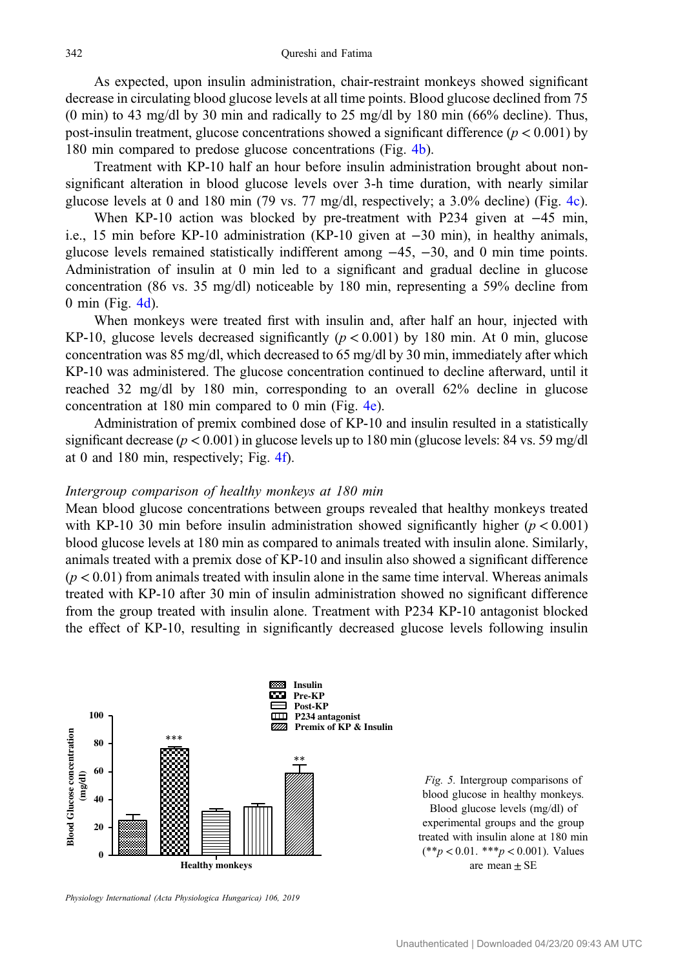<span id="page-7-0"></span>As expected, upon insulin administration, chair-restraint monkeys showed significant decrease in circulating blood glucose levels at all time points. Blood glucose declined from 75 (0 min) to 43 mg/dl by 30 min and radically to 25 mg/dl by 180 min (66% decline). Thus, post-insulin treatment, glucose concentrations showed a significant difference ( $p < 0.001$ ) by 180 min compared to predose glucose concentrations (Fig. [4b](#page-6-0)).

Treatment with KP-10 half an hour before insulin administration brought about nonsignificant alteration in blood glucose levels over 3-h time duration, with nearly similar glucose levels at 0 and 180 min (79 vs. 77 mg/dl, respectively; a 3.0% decline) (Fig. [4c](#page-6-0)).

When KP-10 action was blocked by pre-treatment with P234 given at −45 min, i.e., 15 min before KP-10 administration (KP-10 given at −30 min), in healthy animals, glucose levels remained statistically indifferent among −45, −30, and 0 min time points. Administration of insulin at 0 min led to a significant and gradual decline in glucose concentration (86 vs. 35 mg/dl) noticeable by 180 min, representing a 59% decline from 0 min (Fig. [4d\)](#page-6-0).

When monkeys were treated first with insulin and, after half an hour, injected with KP-10, glucose levels decreased significantly ( $p < 0.001$ ) by 180 min. At 0 min, glucose concentration was 85 mg/dl, which decreased to 65 mg/dl by 30 min, immediately after which KP-10 was administered. The glucose concentration continued to decline afterward, until it reached 32 mg/dl by 180 min, corresponding to an overall 62% decline in glucose concentration at 180 min compared to 0 min (Fig. [4e\)](#page-6-0).

Administration of premix combined dose of KP-10 and insulin resulted in a statistically significant decrease ( $p < 0.001$ ) in glucose levels up to 180 min (glucose levels: 84 vs. 59 mg/dl at 0 and 180 min, respectively; Fig. [4f](#page-6-0)).

# Intergroup comparison of healthy monkeys at 180 min

Mean blood glucose concentrations between groups revealed that healthy monkeys treated with KP-10 30 min before insulin administration showed significantly higher ( $p < 0.001$ ) blood glucose levels at 180 min as compared to animals treated with insulin alone. Similarly, animals treated with a premix dose of KP-10 and insulin also showed a significant difference  $(p < 0.01)$  from animals treated with insulin alone in the same time interval. Whereas animals treated with KP-10 after 30 min of insulin administration showed no significant difference from the group treated with insulin alone. Treatment with P234 KP-10 antagonist blocked the effect of KP-10, resulting in significantly decreased glucose levels following insulin



Fig. 5. Intergroup comparisons of blood glucose in healthy monkeys. Blood glucose levels (mg/dl) of experimental groups and the group treated with insulin alone at 180 min  $(**p < 0.01, **p < 0.001)$ . Values are mean  $\pm$  SE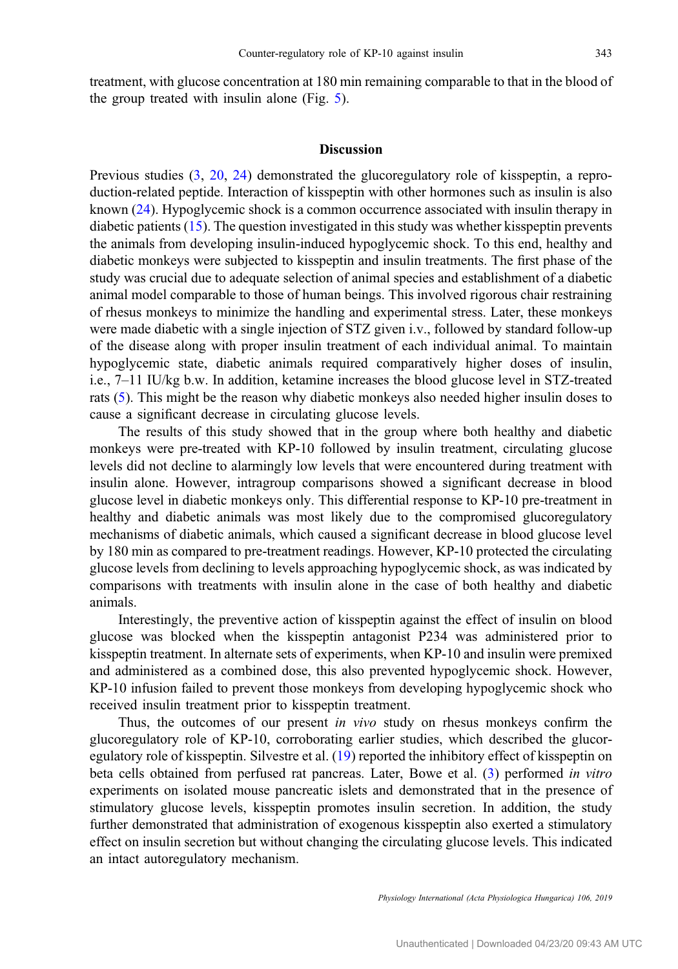treatment, with glucose concentration at 180 min remaining comparable to that in the blood of the group treated with insulin alone (Fig. [5\)](#page-7-0).

# Discussion

Previous studies ([3,](#page-10-0) [20](#page-11-0), [24\)](#page-11-0) demonstrated the glucoregulatory role of kisspeptin, a reproduction-related peptide. Interaction of kisspeptin with other hormones such as insulin is also known ([24\)](#page-11-0). Hypoglycemic shock is a common occurrence associated with insulin therapy in diabetic patients [\(15](#page-11-0)). The question investigated in this study was whether kisspeptin prevents the animals from developing insulin-induced hypoglycemic shock. To this end, healthy and diabetic monkeys were subjected to kisspeptin and insulin treatments. The first phase of the study was crucial due to adequate selection of animal species and establishment of a diabetic animal model comparable to those of human beings. This involved rigorous chair restraining of rhesus monkeys to minimize the handling and experimental stress. Later, these monkeys were made diabetic with a single injection of STZ given i.v., followed by standard follow-up of the disease along with proper insulin treatment of each individual animal. To maintain hypoglycemic state, diabetic animals required comparatively higher doses of insulin, i.e., 7–11 IU/kg b.w. In addition, ketamine increases the blood glucose level in STZ-treated rats [\(5](#page-11-0)). This might be the reason why diabetic monkeys also needed higher insulin doses to cause a significant decrease in circulating glucose levels.

The results of this study showed that in the group where both healthy and diabetic monkeys were pre-treated with KP-10 followed by insulin treatment, circulating glucose levels did not decline to alarmingly low levels that were encountered during treatment with insulin alone. However, intragroup comparisons showed a significant decrease in blood glucose level in diabetic monkeys only. This differential response to KP-10 pre-treatment in healthy and diabetic animals was most likely due to the compromised glucoregulatory mechanisms of diabetic animals, which caused a significant decrease in blood glucose level by 180 min as compared to pre-treatment readings. However, KP-10 protected the circulating glucose levels from declining to levels approaching hypoglycemic shock, as was indicated by comparisons with treatments with insulin alone in the case of both healthy and diabetic animals.

Interestingly, the preventive action of kisspeptin against the effect of insulin on blood glucose was blocked when the kisspeptin antagonist P234 was administered prior to kisspeptin treatment. In alternate sets of experiments, when KP-10 and insulin were premixed and administered as a combined dose, this also prevented hypoglycemic shock. However, KP-10 infusion failed to prevent those monkeys from developing hypoglycemic shock who received insulin treatment prior to kisspeptin treatment.

Thus, the outcomes of our present in vivo study on rhesus monkeys confirm the glucoregulatory role of KP-10, corroborating earlier studies, which described the glucoregulatory role of kisspeptin. Silvestre et al. [\(19\)](#page-11-0) reported the inhibitory effect of kisspeptin on beta cells obtained from perfused rat pancreas. Later, Bowe et al. [\(3](#page-10-0)) performed in vitro experiments on isolated mouse pancreatic islets and demonstrated that in the presence of stimulatory glucose levels, kisspeptin promotes insulin secretion. In addition, the study further demonstrated that administration of exogenous kisspeptin also exerted a stimulatory effect on insulin secretion but without changing the circulating glucose levels. This indicated an intact autoregulatory mechanism.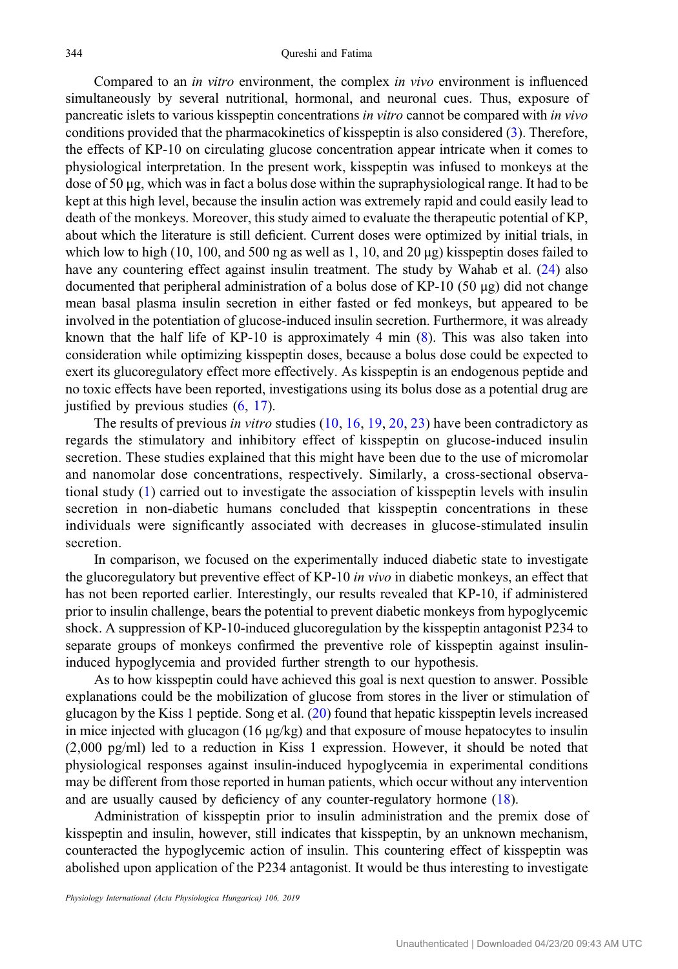Compared to an in vitro environment, the complex in vivo environment is influenced simultaneously by several nutritional, hormonal, and neuronal cues. Thus, exposure of pancreatic islets to various kisspeptin concentrations in vitro cannot be compared with in vivo conditions provided that the pharmacokinetics of kisspeptin is also considered ([3\)](#page-10-0). Therefore, the effects of KP-10 on circulating glucose concentration appear intricate when it comes to physiological interpretation. In the present work, kisspeptin was infused to monkeys at the dose of 50 μg, which was in fact a bolus dose within the supraphysiological range. It had to be kept at this high level, because the insulin action was extremely rapid and could easily lead to death of the monkeys. Moreover, this study aimed to evaluate the therapeutic potential of KP, about which the literature is still deficient. Current doses were optimized by initial trials, in which low to high (10, 100, and 500 ng as well as 1, 10, and 20  $\mu$ g) kisspeptin doses failed to have any countering effect against insulin treatment. The study by Wahab et al. [\(24](#page-11-0)) also documented that peripheral administration of a bolus dose of KP-10 (50 μg) did not change mean basal plasma insulin secretion in either fasted or fed monkeys, but appeared to be involved in the potentiation of glucose-induced insulin secretion. Furthermore, it was already known that the half life of KP-10 is approximately 4 min ([8\)](#page-11-0). This was also taken into consideration while optimizing kisspeptin doses, because a bolus dose could be expected to exert its glucoregulatory effect more effectively. As kisspeptin is an endogenous peptide and no toxic effects have been reported, investigations using its bolus dose as a potential drug are justified by previous studies ([6,](#page-11-0) [17\)](#page-11-0).

The results of previous *in vitro* studies ([10](#page-11-0), [16](#page-11-0), [19](#page-11-0), [20,](#page-11-0) [23\)](#page-11-0) have been contradictory as regards the stimulatory and inhibitory effect of kisspeptin on glucose-induced insulin secretion. These studies explained that this might have been due to the use of micromolar and nanomolar dose concentrations, respectively. Similarly, a cross-sectional observational study ([1\)](#page-10-0) carried out to investigate the association of kisspeptin levels with insulin secretion in non-diabetic humans concluded that kisspeptin concentrations in these individuals were significantly associated with decreases in glucose-stimulated insulin secretion.

In comparison, we focused on the experimentally induced diabetic state to investigate the glucoregulatory but preventive effect of KP-10 in vivo in diabetic monkeys, an effect that has not been reported earlier. Interestingly, our results revealed that KP-10, if administered prior to insulin challenge, bears the potential to prevent diabetic monkeys from hypoglycemic shock. A suppression of KP-10-induced glucoregulation by the kisspeptin antagonist P234 to separate groups of monkeys confirmed the preventive role of kisspeptin against insulininduced hypoglycemia and provided further strength to our hypothesis.

As to how kisspeptin could have achieved this goal is next question to answer. Possible explanations could be the mobilization of glucose from stores in the liver or stimulation of glucagon by the Kiss 1 peptide. Song et al. [\(20](#page-11-0)) found that hepatic kisspeptin levels increased in mice injected with glucagon  $(16 \mu g/kg)$  and that exposure of mouse hepatocytes to insulin (2,000 pg/ml) led to a reduction in Kiss 1 expression. However, it should be noted that physiological responses against insulin-induced hypoglycemia in experimental conditions may be different from those reported in human patients, which occur without any intervention and are usually caused by deficiency of any counter-regulatory hormone ([18\)](#page-11-0).

Administration of kisspeptin prior to insulin administration and the premix dose of kisspeptin and insulin, however, still indicates that kisspeptin, by an unknown mechanism, counteracted the hypoglycemic action of insulin. This countering effect of kisspeptin was abolished upon application of the P234 antagonist. It would be thus interesting to investigate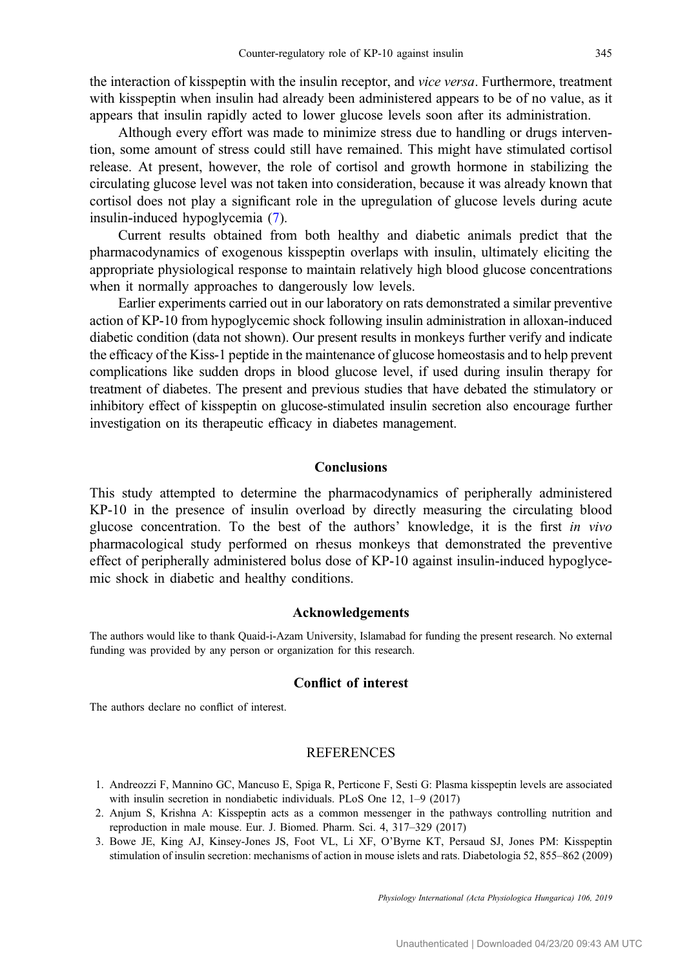<span id="page-10-0"></span>the interaction of kisspeptin with the insulin receptor, and vice versa. Furthermore, treatment with kisspeptin when insulin had already been administered appears to be of no value, as it appears that insulin rapidly acted to lower glucose levels soon after its administration.

Although every effort was made to minimize stress due to handling or drugs intervention, some amount of stress could still have remained. This might have stimulated cortisol release. At present, however, the role of cortisol and growth hormone in stabilizing the circulating glucose level was not taken into consideration, because it was already known that cortisol does not play a significant role in the upregulation of glucose levels during acute insulin-induced hypoglycemia [\(7](#page-11-0)).

Current results obtained from both healthy and diabetic animals predict that the pharmacodynamics of exogenous kisspeptin overlaps with insulin, ultimately eliciting the appropriate physiological response to maintain relatively high blood glucose concentrations when it normally approaches to dangerously low levels.

Earlier experiments carried out in our laboratory on rats demonstrated a similar preventive action of KP-10 from hypoglycemic shock following insulin administration in alloxan-induced diabetic condition (data not shown). Our present results in monkeys further verify and indicate the efficacy of the Kiss-1 peptide in the maintenance of glucose homeostasis and to help prevent complications like sudden drops in blood glucose level, if used during insulin therapy for treatment of diabetes. The present and previous studies that have debated the stimulatory or inhibitory effect of kisspeptin on glucose-stimulated insulin secretion also encourage further investigation on its therapeutic efficacy in diabetes management.

# Conclusions

This study attempted to determine the pharmacodynamics of peripherally administered KP-10 in the presence of insulin overload by directly measuring the circulating blood glucose concentration. To the best of the authors' knowledge, it is the first in vivo pharmacological study performed on rhesus monkeys that demonstrated the preventive effect of peripherally administered bolus dose of KP-10 against insulin-induced hypoglycemic shock in diabetic and healthy conditions.

#### Acknowledgements

The authors would like to thank Quaid-i-Azam University, Islamabad for funding the present research. No external funding was provided by any person or organization for this research.

# Conflict of interest

The authors declare no conflict of interest.

# REFERENCES

- 1. Andreozzi F, Mannino GC, Mancuso E, Spiga R, Perticone F, Sesti G: Plasma kisspeptin levels are associated with insulin secretion in nondiabetic individuals. PLoS One 12, 1–9 (2017)
- 2. Anjum S, Krishna A: Kisspeptin acts as a common messenger in the pathways controlling nutrition and reproduction in male mouse. Eur. J. Biomed. Pharm. Sci. 4, 317–329 (2017)
- 3. Bowe JE, King AJ, Kinsey-Jones JS, Foot VL, Li XF, O'Byrne KT, Persaud SJ, Jones PM: Kisspeptin stimulation of insulin secretion: mechanisms of action in mouse islets and rats. Diabetologia 52, 855–862 (2009)